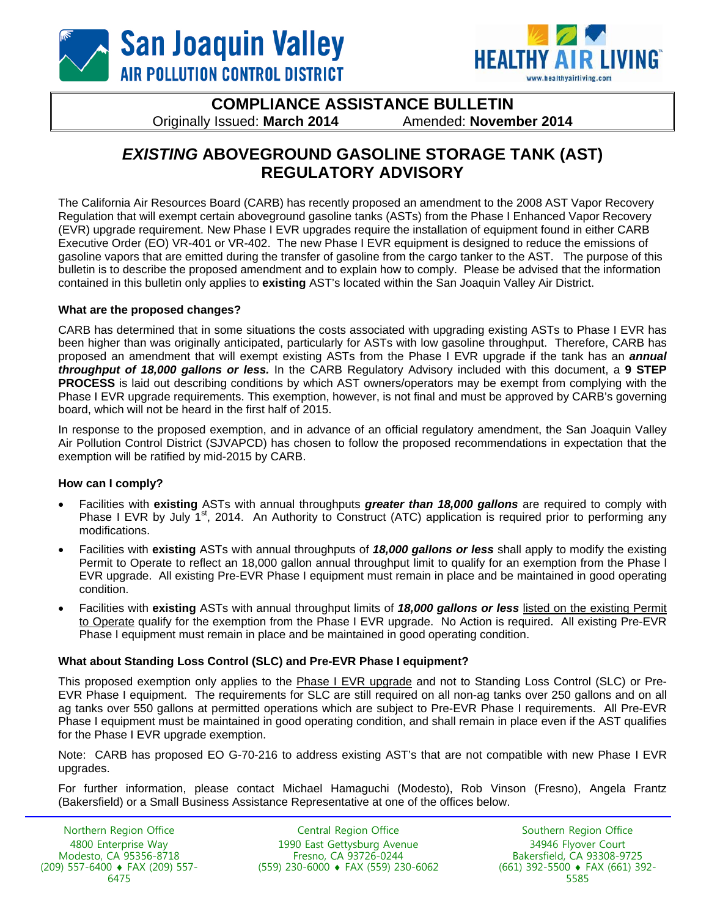



**COMPLIANCE ASSISTANCE BULLETIN**  Originally Issued: **March 2014** Amended: **November 2014** 

# *EXISTING* **ABOVEGROUND GASOLINE STORAGE TANK (AST) REGULATORY ADVISORY**

The California Air Resources Board (CARB) has recently proposed an amendment to the 2008 AST Vapor Recovery Regulation that will exempt certain aboveground gasoline tanks (ASTs) from the Phase I Enhanced Vapor Recovery (EVR) upgrade requirement. New Phase I EVR upgrades require the installation of equipment found in either CARB Executive Order (EO) VR-401 or VR-402. The new Phase I EVR equipment is designed to reduce the emissions of gasoline vapors that are emitted during the transfer of gasoline from the cargo tanker to the AST. The purpose of this bulletin is to describe the proposed amendment and to explain how to comply. Please be advised that the information contained in this bulletin only applies to **existing** AST's located within the San Joaquin Valley Air District.

#### **What are the proposed changes?**

CARB has determined that in some situations the costs associated with upgrading existing ASTs to Phase I EVR has been higher than was originally anticipated, particularly for ASTs with low gasoline throughput. Therefore, CARB has proposed an amendment that will exempt existing ASTs from the Phase I EVR upgrade if the tank has an *annual throughput of 18,000 gallons or less.* In the CARB Regulatory Advisory included with this document, a **9 STEP PROCESS** is laid out describing conditions by which AST owners/operators may be exempt from complying with the Phase I EVR upgrade requirements. This exemption, however, is not final and must be approved by CARB's governing board, which will not be heard in the first half of 2015.

In response to the proposed exemption, and in advance of an official regulatory amendment, the San Joaquin Valley Air Pollution Control District (SJVAPCD) has chosen to follow the proposed recommendations in expectation that the exemption will be ratified by mid-2015 by CARB.

#### **How can I comply?**

- Facilities with **existing** ASTs with annual throughputs *greater than 18,000 gallons* are required to comply with Phase I EVR by July 1<sup>st</sup>, 2014. An Authority to Construct (ATC) application is required prior to performing any modifications.
- Facilities with **existing** ASTs with annual throughputs of *18,000 gallons or less* shall apply to modify the existing Permit to Operate to reflect an 18,000 gallon annual throughput limit to qualify for an exemption from the Phase l EVR upgrade. All existing Pre-EVR Phase I equipment must remain in place and be maintained in good operating condition.
- Facilities with **existing** ASTs with annual throughput limits of *18,000 gallons or less* listed on the existing Permit to Operate qualify for the exemption from the Phase I EVR upgrade. No Action is required. All existing Pre-EVR Phase I equipment must remain in place and be maintained in good operating condition.

#### **What about Standing Loss Control (SLC) and Pre-EVR Phase I equipment?**

This proposed exemption only applies to the Phase I EVR upgrade and not to Standing Loss Control (SLC) or Pre-EVR Phase I equipment. The requirements for SLC are still required on all non-ag tanks over 250 gallons and on all ag tanks over 550 gallons at permitted operations which are subject to Pre-EVR Phase I requirements. All Pre-EVR Phase I equipment must be maintained in good operating condition, and shall remain in place even if the AST qualifies for the Phase I EVR upgrade exemption.

Note: CARB has proposed EO G-70-216 to address existing AST's that are not compatible with new Phase I EVR upgrades.

For further information, please contact Michael Hamaguchi (Modesto), Rob Vinson (Fresno), Angela Frantz (Bakersfield) or a Small Business Assistance Representative at one of the offices below.

Northern Region Office 4800 Enterprise Way Modesto, CA 95356-8718 (209) 557-6400 FAX (209) 557- 6475

Central Region Office 1990 East Gettysburg Avenue Fresno, CA 93726-0244 (559) 230-6000 FAX (559) 230-6062

Southern Region Office 34946 Flyover Court Bakersfield, CA 93308-9725 (661) 392-5500 FAX (661) 392- 5585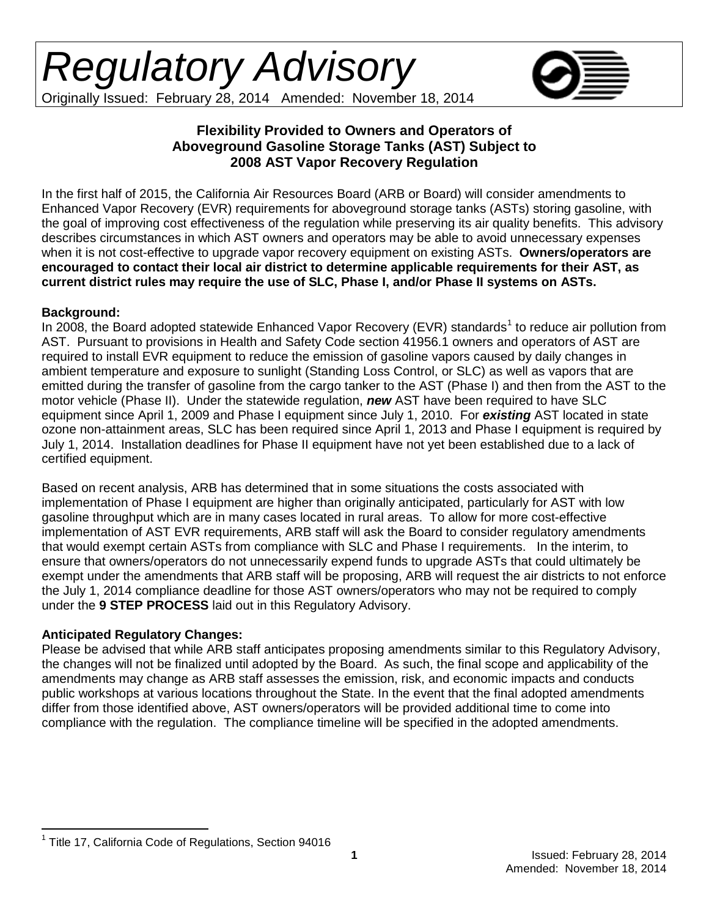

Originally Issued: February 28, 2014 Amended: November 18, 2014

### **Flexibility Provided to Owners and Operators of Aboveground Gasoline Storage Tanks (AST) Subject to 2008 AST Vapor Recovery Regulation**

In the first half of 2015, the California Air Resources Board (ARB or Board) will consider amendments to Enhanced Vapor Recovery (EVR) requirements for aboveground storage tanks (ASTs) storing gasoline, with the goal of improving cost effectiveness of the regulation while preserving its air quality benefits. This advisory describes circumstances in which AST owners and operators may be able to avoid unnecessary expenses when it is not cost-effective to upgrade vapor recovery equipment on existing ASTs. **Owners/operators are encouraged to contact their local air district to determine applicable requirements for their AST, as current district rules may require the use of SLC, Phase I, and/or Phase II systems on ASTs.** 

### **Background:**

In 2008, the Board adopted statewide Enhanced Vapor Recovery (EVR) standards<sup>[1](#page-1-0)</sup> to reduce air pollution from AST. Pursuant to provisions in Health and Safety Code section 41956.1 owners and operators of AST are required to install EVR equipment to reduce the emission of gasoline vapors caused by daily changes in ambient temperature and exposure to sunlight (Standing Loss Control, or SLC) as well as vapors that are emitted during the transfer of gasoline from the cargo tanker to the AST (Phase I) and then from the AST to the motor vehicle (Phase II). Under the statewide regulation, *new* AST have been required to have SLC equipment since April 1, 2009 and Phase I equipment since July 1, 2010. For *existing* AST located in state ozone non-attainment areas, SLC has been required since April 1, 2013 and Phase I equipment is required by July 1, 2014. Installation deadlines for Phase II equipment have not yet been established due to a lack of certified equipment.

Based on recent analysis, ARB has determined that in some situations the costs associated with implementation of Phase I equipment are higher than originally anticipated, particularly for AST with low gasoline throughput which are in many cases located in rural areas. To allow for more cost-effective implementation of AST EVR requirements, ARB staff will ask the Board to consider regulatory amendments that would exempt certain ASTs from compliance with SLC and Phase I requirements. In the interim, to ensure that owners/operators do not unnecessarily expend funds to upgrade ASTs that could ultimately be exempt under the amendments that ARB staff will be proposing, ARB will request the air districts to not enforce the July 1, 2014 compliance deadline for those AST owners/operators who may not be required to comply under the **9 STEP PROCESS** laid out in this Regulatory Advisory.

## **Anticipated Regulatory Changes:**

Please be advised that while ARB staff anticipates proposing amendments similar to this Regulatory Advisory, the changes will not be finalized until adopted by the Board. As such, the final scope and applicability of the amendments may change as ARB staff assesses the emission, risk, and economic impacts and conducts public workshops at various locations throughout the State. In the event that the final adopted amendments differ from those identified above, AST owners/operators will be provided additional time to come into compliance with the regulation. The compliance timeline will be specified in the adopted amendments.

<span id="page-1-0"></span> $1$  Title 17, California Code of Regulations, Section 94016  $\overline{a}$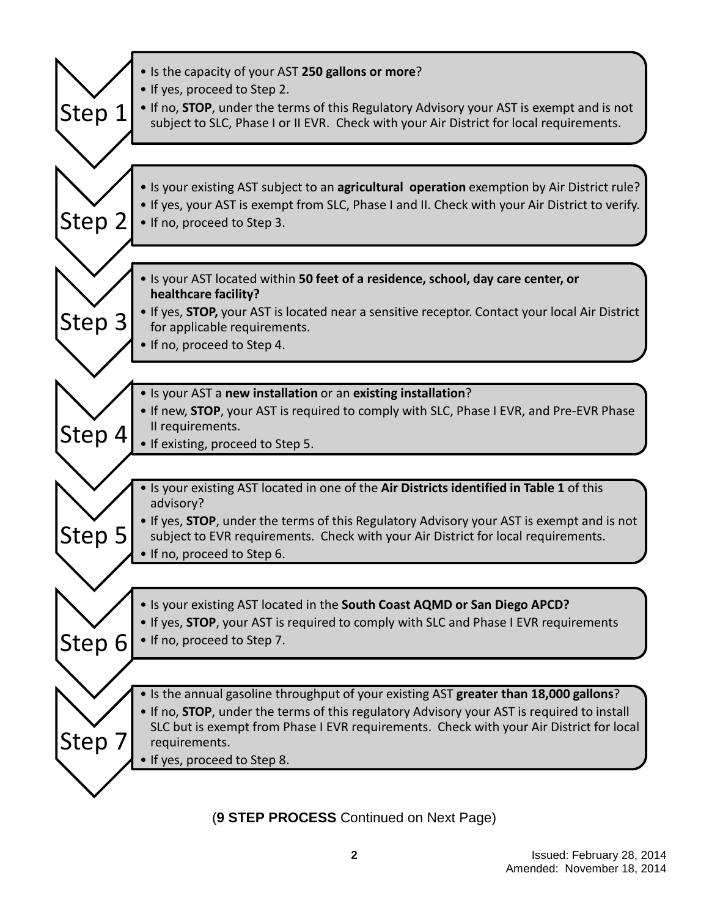| Step 1 | . Is the capacity of your AST 250 gallons or more?<br>• If yes, proceed to Step 2.<br>. If no, <b>STOP</b> , under the terms of this Regulatory Advisory your AST is exempt and is not<br>subject to SLC, Phase I or II EVR. Check with your Air District for local requirements. |
|--------|-----------------------------------------------------------------------------------------------------------------------------------------------------------------------------------------------------------------------------------------------------------------------------------|
|        |                                                                                                                                                                                                                                                                                   |
|        | • Is your existing AST subject to an agricultural operation exemption by Air District rule?                                                                                                                                                                                       |
|        | . If yes, your AST is exempt from SLC, Phase I and II. Check with your Air District to verify.                                                                                                                                                                                    |
| Step 2 | • If no, proceed to Step 3.                                                                                                                                                                                                                                                       |
|        |                                                                                                                                                                                                                                                                                   |
|        | . Is your AST located within 50 feet of a residence, school, day care center, or<br>healthcare facility?                                                                                                                                                                          |
| Step 3 | . If yes, STOP, your AST is located near a sensitive receptor. Contact your local Air District                                                                                                                                                                                    |
|        | for applicable requirements.<br>• If no, proceed to Step 4.                                                                                                                                                                                                                       |
|        |                                                                                                                                                                                                                                                                                   |
|        | . Is your AST a new installation or an existing installation?                                                                                                                                                                                                                     |
|        | . If new, STOP, your AST is required to comply with SLC, Phase I EVR, and Pre-EVR Phase                                                                                                                                                                                           |
| Step 4 | Il requirements.                                                                                                                                                                                                                                                                  |
|        | • If existing, proceed to Step 5.                                                                                                                                                                                                                                                 |
|        |                                                                                                                                                                                                                                                                                   |
|        | . Is your existing AST located in one of the Air Districts identified in Table 1 of this<br>advisory?                                                                                                                                                                             |
|        | • If yes, STOP, under the terms of this Regulatory Advisory your AST is exempt and is not                                                                                                                                                                                         |
| Step 5 | subject to EVR requirements. Check with your Air District for local requirements.                                                                                                                                                                                                 |
|        | . If no, proceed to Step 6.                                                                                                                                                                                                                                                       |
|        |                                                                                                                                                                                                                                                                                   |
|        | . Is your existing AST located in the South Coast AQMD or San Diego APCD?                                                                                                                                                                                                         |
|        | . If yes, STOP, your AST is required to comply with SLC and Phase I EVR requirements<br>• If no, proceed to Step 7.                                                                                                                                                               |
| Step 6 |                                                                                                                                                                                                                                                                                   |
|        |                                                                                                                                                                                                                                                                                   |
|        | • Is the annual gasoline throughput of your existing AST greater than 18,000 gallons?                                                                                                                                                                                             |
|        | • If no, <b>STOP</b> , under the terms of this regulatory Advisory your AST is required to install<br>SLC but is exempt from Phase I EVR requirements. Check with your Air District for local                                                                                     |
| Step 7 | requirements.                                                                                                                                                                                                                                                                     |
|        | • If yes, proceed to Step 8.                                                                                                                                                                                                                                                      |
|        |                                                                                                                                                                                                                                                                                   |

(**9 STEP PROCESS** Continued on Next Page)